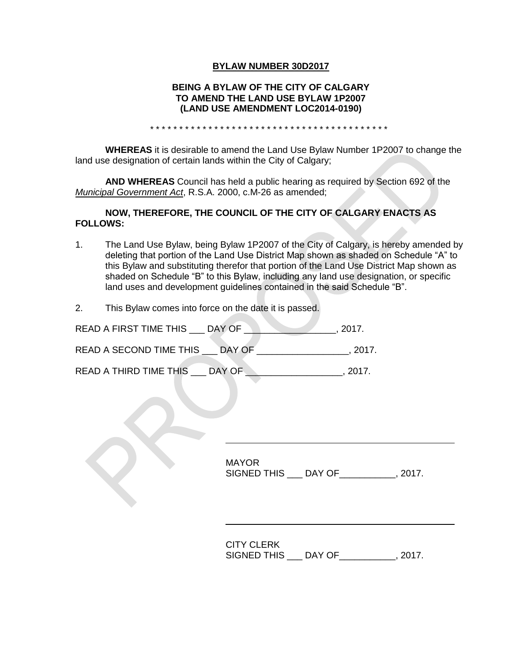## **BYLAW NUMBER 30D2017**

## **BEING A BYLAW OF THE CITY OF CALGARY TO AMEND THE LAND USE BYLAW 1P2007 (LAND USE AMENDMENT LOC2014-0190)**

\* \* \* \* \* \* \* \* \* \* \* \* \* \* \* \* \* \* \* \* \* \* \* \* \* \* \* \* \* \* \* \* \* \* \* \* \* \* \* \* \*

**WHEREAS** it is desirable to amend the Land Use Bylaw Number 1P2007 to change the land use designation of certain lands within the City of Calgary;

**AND WHEREAS** Council has held a public hearing as required by Section 692 of the *Municipal Government Act*, R.S.A. 2000, c.M-26 as amended;

## **NOW, THEREFORE, THE COUNCIL OF THE CITY OF CALGARY ENACTS AS FOLLOWS:**

- 1. The Land Use Bylaw, being Bylaw 1P2007 of the City of Calgary, is hereby amended by deleting that portion of the Land Use District Map shown as shaded on Schedule "A" to this Bylaw and substituting therefor that portion of the Land Use District Map shown as shaded on Schedule "B" to this Bylaw, including any land use designation, or specific land uses and development guidelines contained in the said Schedule "B".
- 2. This Bylaw comes into force on the date it is passed.

| READ A FIRST TIME THIS  | DAY OF | 2017. |
|-------------------------|--------|-------|
| READ A SECOND TIME THIS | DAY OF | 2017. |
| READ A THIRD TIME THIS  | DAY OF | 2017  |

MAYOR SIGNED THIS \_\_\_ DAY OF\_\_\_\_\_\_\_\_\_\_\_, 2017.

CITY CLERK SIGNED THIS \_\_\_ DAY OF\_\_\_\_\_\_\_\_\_\_\_, 2017.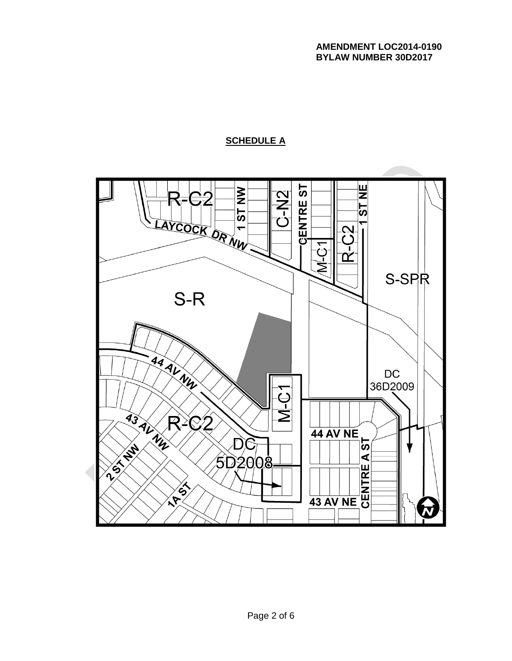# **SCHEDULE A**

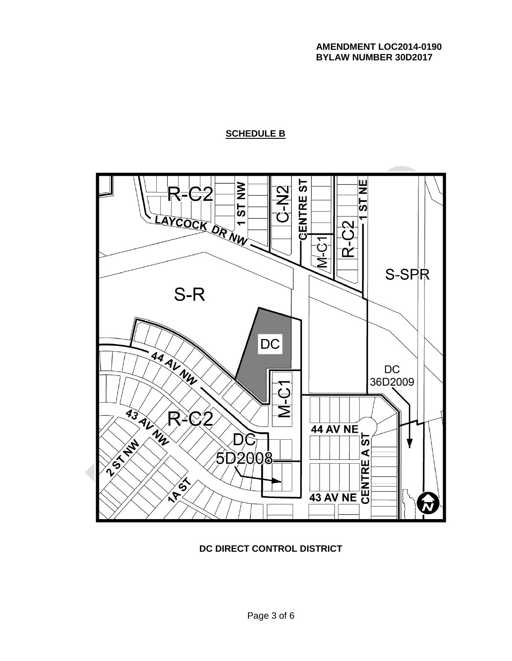# **SCHEDULE B**



# **DC DIRECT CONTROL DISTRICT**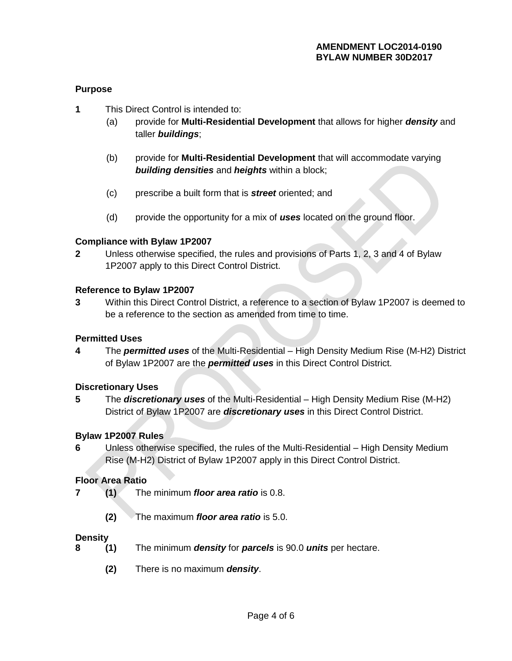# **Purpose**

- **1** This Direct Control is intended to:
	- (a) provide for **Multi-Residential Development** that allows for higher *density* and taller *buildings*;
	- (b) provide for **Multi-Residential Development** that will accommodate varying *building densities* and *heights* within a block;
	- (c) prescribe a built form that is *street* oriented; and
	- (d) provide the opportunity for a mix of *uses* located on the ground floor.

## **Compliance with Bylaw 1P2007**

**2** Unless otherwise specified, the rules and provisions of Parts 1, 2, 3 and 4 of Bylaw 1P2007 apply to this Direct Control District.

## **Reference to Bylaw 1P2007**

**3** Within this Direct Control District, a reference to a section of Bylaw 1P2007 is deemed to be a reference to the section as amended from time to time.

#### **Permitted Uses**

**4** The *permitted uses* of the Multi-Residential – High Density Medium Rise (M-H2) District of Bylaw 1P2007 are the *permitted uses* in this Direct Control District.

#### **Discretionary Uses**

**5** The *discretionary uses* of the Multi-Residential – High Density Medium Rise (M-H2) District of Bylaw 1P2007 are *discretionary uses* in this Direct Control District.

# **Bylaw 1P2007 Rules**

**6** Unless otherwise specified, the rules of the Multi-Residential – High Density Medium Rise (M-H2) District of Bylaw 1P2007 apply in this Direct Control District.

#### **Floor Area Ratio**

- **7 (1)** The minimum *floor area ratio* is 0.8.
	- **(2)** The maximum *floor area ratio* is 5.0.

#### **Density**

- **8 (1)** The minimum *density* for *parcels* is 90.0 *units* per hectare.
	- **(2)** There is no maximum *density*.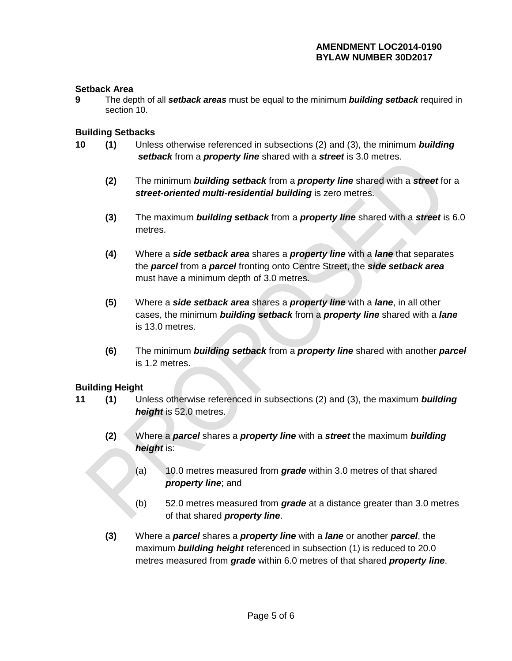# **AMENDMENT LOC2014-0190 BYLAW NUMBER 30D2017**

## **Setback Area**

**9** The depth of all *setback areas* must be equal to the minimum *building setback* required in section 10.

### **Building Setbacks**

- **10 (1)** Unless otherwise referenced in subsections (2) and (3), the minimum *building setback* from a *property line* shared with a *street* is 3.0 metres.
	- **(2)** The minimum *building setback* from a *property line* shared with a *street* for a *street-oriented multi-residential building* is zero metres.
	- **(3)** The maximum *building setback* from a *property line* shared with a *street* is 6.0 metres.
	- **(4)** Where a *side setback area* shares a *property line* with a *lane* that separates the *parcel* from a *parcel* fronting onto Centre Street, the *side setback area* must have a minimum depth of 3.0 metres.
	- **(5)** Where a *side setback area* shares a *property line* with a *lane*, in all other cases, the minimum *building setback* from a *property line* shared with a *lane* is 13.0 metres.
	- **(6)** The minimum *[building setback](javascript:BSSCPopup()* from a *property line* shared with another *parcel* is 1.2 metres.

#### **Building Height**

- **11 (1)** Unless otherwise referenced in subsections (2) and (3), the maximum *building height* is 52.0 metres.
	- **(2)** Where a *parcel* shares a *property line* with a *street* the maximum *building height* is:
		- (a) 10.0 metres measured from *grade* within 3.0 metres of that shared *property line*; and
		- (b) 52.0 metres measured from *grade* at a distance greater than 3.0 metres of that shared *property line*.
	- **(3)** Where a *parcel* shares a *property line* with a *lane* or another *parcel*, the maximum *building height* referenced in subsection (1) is reduced to 20.0 metres measured from *grade* within 6.0 metres of that shared *property line*.